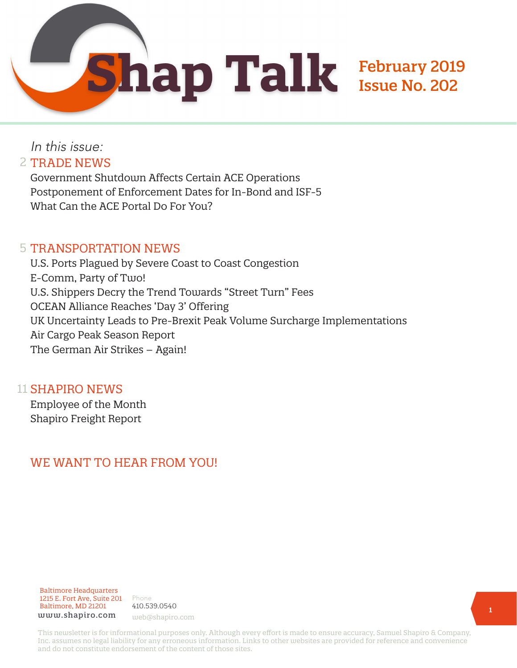

### In this issue: 2 TRADE NEWS

Government Shutdown Affects Certain ACE Operations Postponement of Enforcement Dates for In-Bond and ISF-5 What Can the ACE Portal Do For You?

#### 5 TRANSPORTATION NEWS

U.S. Ports Plagued by Severe Coast to Coast Congestion E-Comm, Party of Two! U.S. Shippers Decry the Trend Towards "Street Turn" Fees OCEAN Alliance Reaches 'Day 3' Offering UK Uncertainty Leads to Pre-Brexit Peak Volume Surcharge Implementations Air Cargo Peak Season Report The German Air Strikes – Again!

#### 11 SHAPIRO NEWS

Employee of the Month Shapiro Freight Report

### WE WANT TO HEAR FROM YOU!



Phone 410.539.0540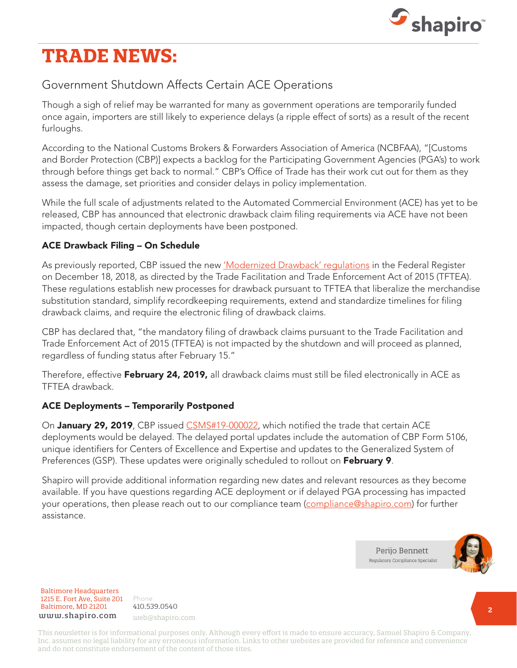

# **TRADE NEWS:**

### Government Shutdown Affects Certain ACE Operations

Though a sigh of relief may be warranted for many as government operations are temporarily funded once again, importers are still likely to experience delays (a ripple effect of sorts) as a result of the recent furloughs.

According to the National Customs Brokers & Forwarders Association of America (NCBFAA), "[Customs and Border Protection (CBP)] expects a backlog for the Participating Government Agencies (PGA's) to work through before things get back to normal." CBP's Office of Trade has their work cut out for them as they assess the damage, set priorities and consider delays in policy implementation.

While the full scale of adjustments related to the Automated Commercial Environment (ACE) has yet to be released, CBP has announced that electronic drawback claim filing requirements via ACE have not been impacted, though certain deployments have been postponed.

#### ACE Drawback Filing – On Schedule

As previously reported, CBP issued the new 'Modernized Drawback' requlations in the Federal Register on December 18, 2018, as directed by the Trade Facilitation and Trade Enforcement Act of 2015 (TFTEA). These regulations establish new processes for drawback pursuant to TFTEA that liberalize the merchandise substitution standard, simplify recordkeeping requirements, extend and standardize timelines for filing drawback claims, and require the electronic filing of drawback claims.

CBP has declared that, "the mandatory filing of drawback claims pursuant to the Trade Facilitation and Trade Enforcement Act of 2015 (TFTEA) is not impacted by the shutdown and will proceed as planned, regardless of funding status after February 15."

Therefore, effective February 24, 2019, all drawback claims must still be filed electronically in ACE as TFTEA drawback.

#### ACE Deployments – Temporarily Postponed

On January 29, 2019, CBP issued [CSMS#19-000022](https://csms.cbp.gov/viewmssg.asp?Recid=24008&page=&srch_argv=&srchtype=&btype=&sortby=&sby=), which notified the trade that certain ACE deployments would be delayed. The delayed portal updates include the automation of CBP Form 5106, unique identifiers for Centers of Excellence and Expertise and updates to the Generalized System of Preferences (GSP). These updates were originally scheduled to rollout on February 9.

Shapiro will provide additional information regarding new dates and relevant resources as they become available. If you have questions regarding ACE deployment or if delayed PGA processing has impacted your operations, then please reach out to our compliance team ([compliance@shapiro.com\)](mailto:compliance%40shapiro.com?subject=) for further assistance.

> Perijo Bennett Regulatory Compliance Specialist



Baltimore Headquarters Baltimore Headquarters 1215 E. Fort Ave, Suite 201 www.shapiro.com web@shapiro.com Baltimore, MD 21201

Phone Phone rnone<br>410.539.0540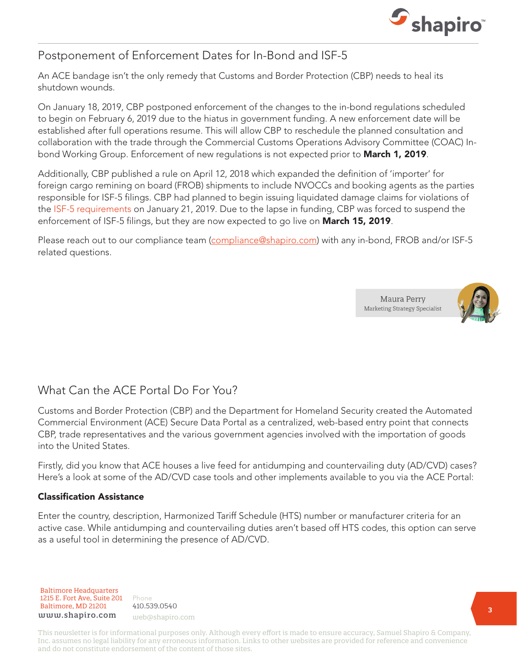

### Postponement of Enforcement Dates for In-Bond and ISF-5

An ACE bandage isn't the only remedy that Customs and Border Protection (CBP) needs to heal its shutdown wounds.

On January 18, 2019, CBP postponed enforcement of the changes to the in-bond regulations scheduled to begin on February 6, 2019 due to the hiatus in government funding. A new enforcement date will be established after full operations resume. This will allow CBP to reschedule the planned consultation and collaboration with the trade through the Commercial Customs Operations Advisory Committee (COAC) Inbond Working Group. Enforcement of new regulations is not expected prior to March 1, 2019.

Additionally, CBP published a rule on April 12, 2018 which expanded the definition of 'importer' for foreign cargo remining on board (FROB) shipments to include NVOCCs and booking agents as the parties responsible for ISF-5 filings. CBP had planned to begin issuing liquidated damage claims for violations of the [ISF-5 requirements](https://www.shapiro.com/alerts/importers-beware-isf-5-enforcements-are-coming/) on January 21, 2019. Due to the lapse in funding, CBP was forced to suspend the enforcement of ISF-5 filings, but they are now expected to go live on **March 15, 2019**.

Please reach out to our compliance team [\(compliance@shapiro.com](mailto:compliance%40shapiro.com?subject=)) with any in-bond, FROB and/or ISF-5 related questions.





### What Can the ACE Portal Do For You?

Customs and Border Protection (CBP) and the Department for Homeland Security created the Automated Commercial Environment (ACE) Secure Data Portal as a centralized, web-based entry point that connects CBP, trade representatives and the various government agencies involved with the importation of goods into the United States.

Firstly, did you know that ACE houses a live feed for antidumping and countervailing duty (AD/CVD) cases? Here's a look at some of the AD/CVD case tools and other implements available to you via the ACE Portal:

#### Classification Assistance

Enter the country, description, Harmonized Tariff Schedule (HTS) number or manufacturer criteria for an active case. While antidumping and countervailing duties aren't based off HTS codes, this option can serve as a useful tool in determining the presence of AD/CVD.

Baltimore Headquarters Baltimore Headquarters 1215 E. Fort Ave, Suite 201 www.shapiro.com <sub>web@shapiro.com</sub> Baltimore, MD 21201

Phone Phone rnone<br>410.539.0540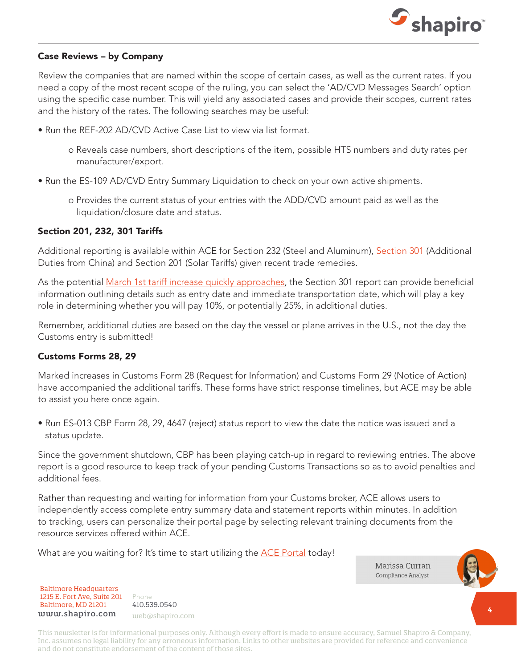

#### Case Reviews – by Company

Review the companies that are named within the scope of certain cases, as well as the current rates. If you need a copy of the most recent scope of the ruling, you can select the 'AD/CVD Messages Search' option using the specific case number. This will yield any associated cases and provide their scopes, current rates and the history of the rates. The following searches may be useful:

- Run the REF-202 AD/CVD Active Case List to view via list format.
	- o Reveals case numbers, short descriptions of the item, possible HTS numbers and duty rates per manufacturer/export.
- Run the ES-109 AD/CVD Entry Summary Liquidation to check on your own active shipments.
	- o Provides the current status of your entries with the ADD/CVD amount paid as well as the liquidation/closure date and status.

#### Section 201, 232, 301 Tariffs

Additional reporting is available within ACE for Section 232 (Steel and Aluminum), [Section 301](https://www.shapiro.com/tariffs/tariff-news/) (Additional Duties from China) and Section 201 (Solar Tariffs) given recent trade remedies.

As the potential [March 1st tariff increase quickly approaches](https://www.shapiro.com/alerts/section-301-list-3-tariffs-to-remain-at-10-for-an-additional-90-days/), the Section 301 report can provide beneficial information outlining details such as entry date and immediate transportation date, which will play a key role in determining whether you will pay 10%, or potentially 25%, in additional duties.

Remember, additional duties are based on the day the vessel or plane arrives in the U.S., not the day the Customs entry is submitted!

#### Customs Forms 28, 29

Marked increases in Customs Form 28 (Request for Information) and Customs Form 29 (Notice of Action) have accompanied the additional tariffs. These forms have strict response timelines, but ACE may be able to assist you here once again.

• Run ES-013 CBP Form 28, 29, 4647 (reject) status report to view the date the notice was issued and a status update.

Since the government shutdown, CBP has been playing catch-up in regard to reviewing entries. The above report is a good resource to keep track of your pending Customs Transactions so as to avoid penalties and additional fees.

Rather than requesting and waiting for information from your Customs broker, ACE allows users to independently access complete entry summary data and statement reports within minutes. In addition to tracking, users can personalize their portal page by selecting relevant training documents from the resource services offered within ACE.

What are you waiting for? It's time to start utilizing the **ACE Portal** today!

Marissa Curran Compliance Analyst

Baltimore Headquarters Baltimore Headquarters 1215 E. Fort Ave, Suite 201 1215 E. Fort Ave, Suite 201 Baltimore, MD 21201 Baltimore, MD 21201 www.shapiro.com web@shapiro.com

Phone Phone 410.539.0540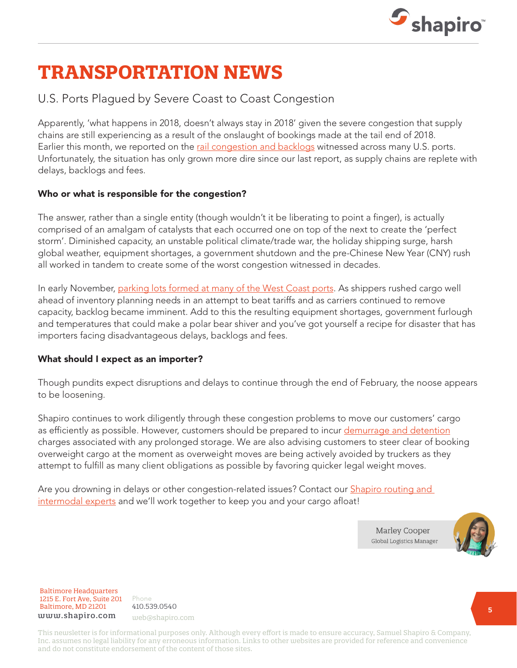

# **TRANSPORTATION NEWS**

### U.S. Ports Plagued by Severe Coast to Coast Congestion

Apparently, 'what happens in 2018, doesn't always stay in 2018' given the severe congestion that supply chains are still experiencing as a result of the onslaught of bookings made at the tail end of 2018. Earlier this month, we reported on the [rail congestion and backlogs](https://www.shapiro.com/alerts/union-pacific-rail-congestion-and-backlogs-at-many-u.s.-ports/) witnessed across many U.S. ports. Unfortunately, the situation has only grown more dire since our last report, as supply chains are replete with delays, backlogs and fees.

#### Who or what is responsible for the congestion?

The answer, rather than a single entity (though wouldn't it be liberating to point a finger), is actually comprised of an amalgam of catalysts that each occurred one on top of the next to create the 'perfect storm'. Diminished capacity, an unstable political climate/trade war, the holiday shipping surge, harsh global weather, equipment shortages, a government shutdown and the pre-Chinese New Year (CNY) rush all worked in tandem to create some of the worst congestion witnessed in decades.

In early November, [parking lots formed at many of the West Coast ports](https://www.shapiro.com/blog/why-do-the-ports-of-los-angeleslong-beach-look-like-a-parking-lot-the-5-minute-guide-to-understanding-the-congestion/). As shippers rushed cargo well ahead of inventory planning needs in an attempt to beat tariffs and as carriers continued to remove capacity, backlog became imminent. Add to this the resulting equipment shortages, government furlough and temperatures that could make a polar bear shiver and you've got yourself a recipe for disaster that has importers facing disadvantageous delays, backlogs and fees.

#### What should I expect as an importer?

Though pundits expect disruptions and delays to continue through the end of February, the noose appears to be loosening.

Shapiro continues to work diligently through these congestion problems to move our customers' cargo as efficiently as possible. However, customers should be prepared to incur [demurrage and detention](https://www.shapiro.com/blog/demurrage-detention-per-diem-oh-my-6-tips-to-avoid-additional-charges/) charges associated with any prolonged storage. We are also advising customers to steer clear of booking overweight cargo at the moment as overweight moves are being actively avoided by truckers as they attempt to fulfill as many client obligations as possible by favoring quicker legal weight moves.

Are you drowning in delays or other congestion-related issues? Contact our **Shapiro routing and** [intermodal experts](mailto:web@shapiro.com) and we'll work together to keep you and your cargo afloat!

> **Marley Cooper Global Logistics Manager**



Baltimore Headquarters Baltimore Headquarters 1215 E. Fort Ave, Suite 201 www.shapiro.com web@shapiro.com Baltimore, MD 21201

Phone Phone rnone<br>410.539.0540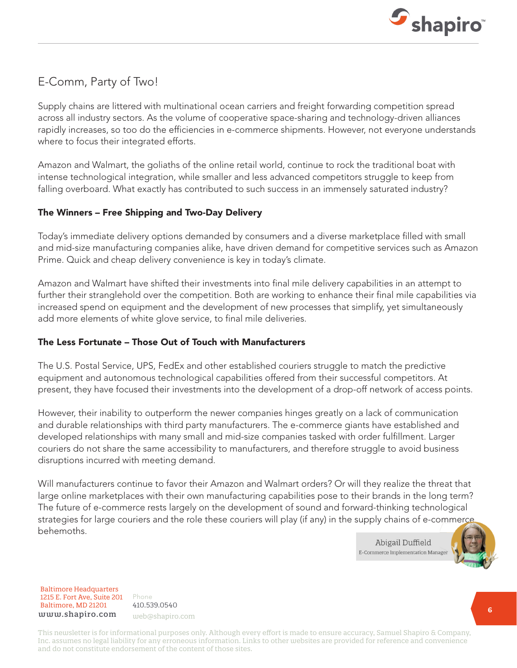

### E-Comm, Party of Two!

Supply chains are littered with multinational ocean carriers and freight forwarding competition spread across all industry sectors. As the volume of cooperative space-sharing and technology-driven alliances rapidly increases, so too do the efficiencies in e-commerce shipments. However, not everyone understands where to focus their integrated efforts.

Amazon and Walmart, the goliaths of the online retail world, continue to rock the traditional boat with intense technological integration, while smaller and less advanced competitors struggle to keep from falling overboard. What exactly has contributed to such success in an immensely saturated industry?

#### The Winners – Free Shipping and Two-Day Delivery

Today's immediate delivery options demanded by consumers and a diverse marketplace filled with small and mid-size manufacturing companies alike, have driven demand for competitive services such as Amazon Prime. Quick and cheap delivery convenience is key in today's climate.

Amazon and Walmart have shifted their investments into final mile delivery capabilities in an attempt to further their stranglehold over the competition. Both are working to enhance their final mile capabilities via increased spend on equipment and the development of new processes that simplify, yet simultaneously add more elements of white glove service, to final mile deliveries.

#### The Less Fortunate – Those Out of Touch with Manufacturers

The U.S. Postal Service, UPS, FedEx and other established couriers struggle to match the predictive equipment and autonomous technological capabilities offered from their successful competitors. At present, they have focused their investments into the development of a drop-off network of access points.

However, their inability to outperform the newer companies hinges greatly on a lack of communication and durable relationships with third party manufacturers. The e-commerce giants have established and developed relationships with many small and mid-size companies tasked with order fulfillment. Larger couriers do not share the same accessibility to manufacturers, and therefore struggle to avoid business disruptions incurred with meeting demand.

Will manufacturers continue to favor their Amazon and Walmart orders? Or will they realize the threat that large online marketplaces with their own manufacturing capabilities pose to their brands in the long term? The future of e-commerce rests largely on the development of sound and forward-thinking technological strategies for large couriers and the role these couriers will play (if any) in the supply chains of e-commerce behemoths.

> Abigail Duffield E-Commerce Implementation Manager



Baltimore Headquarters Baltimore Headquarters 1215 E. Fort Ave, Suite 201 1215 E. Fort Ave, Suite 201 Baltimore, MD 21201 Baltimore, MD 21201 www.shapiro.com web@shapiro.com

Phone Phone 410.539.0540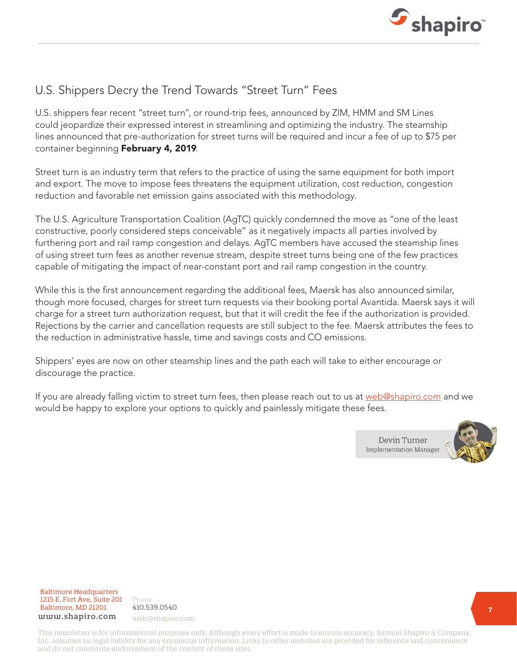

### U.S. Shippers Decry the Trend Towards "Street Turn" Fees

U.S. shippers fear recent "street turn", or round-trip fees, announced by ZIM, HMM and SM Lines could jeopardize their expressed interest in streamlining and optimizing the industry. The steamship lines announced that pre-authorization for street turns will be required and incur a fee of up to \$75 per container beginning February 4, 2019.

Street turn is an industry term that refers to the practice of using the same equipment for both import and export. The move to impose fees threatens the equipment utilization, cost reduction, congestion reduction and favorable net emission gains associated with this methodology.

The U.S. Agriculture Transportation Coalition (AgTC) quickly condemned the move as "one of the least constructive, poorly considered steps conceivable" as it negatively impacts all parties involved by furthering port and rail ramp congestion and delays. AgTC members have accused the steamship lines of using street turn fees as another revenue stream, despite street turns being one of the few practices capable of mitigating the impact of near-constant port and rail ramp congestion in the country.

While this is the first announcement regarding the additional fees, Maersk has also announced similar, though more focused, charges for street turn requests via their booking portal Avantida. Maersk says it will charge for a street turn authorization request, but that it will credit the fee if the authorization is provided. Rejections by the carrier and cancellation requests are still subject to the fee. Maersk attributes the fees to the reduction in administrative hassle, time and savings costs and CO emissions.

Shippers' eyes are now on other steamship lines and the path each will take to either encourage or discourage the practice.

If you are already falling victim to street turn fees, then please reach out to us at [web@shapiro.com](mailto:web%40shapiro.com?subject=) and we would be happy to explore your options to quickly and painlessly mitigate these fees.





Baltimore Headquarters Baltimore Headquarters 1215 E. Fort Ave, Suite 201 www.shapiro.com web@shapiro.com Baltimore, MD 21201

Phone 410.539.0540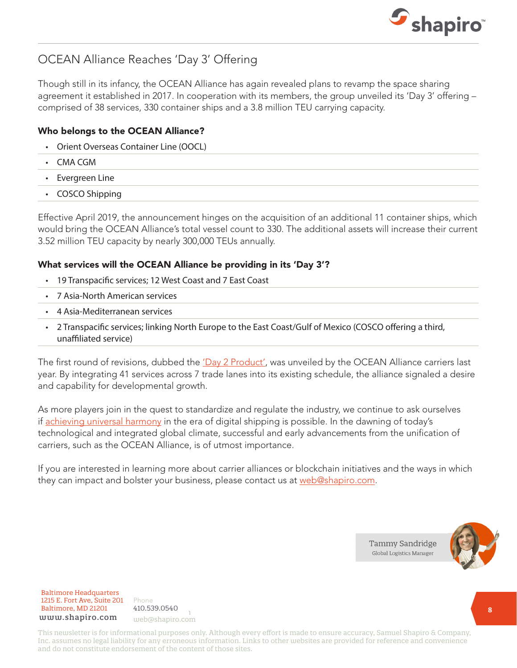

## OCEAN Alliance Reaches 'Day 3' Offering

Though still in its infancy, the OCEAN Alliance has again revealed plans to revamp the space sharing agreement it established in 2017. In cooperation with its members, the group unveiled its 'Day 3' offering – comprised of 38 services, 330 container ships and a 3.8 million TEU carrying capacity.

#### Who belongs to the OCEAN Alliance?

- Orient Overseas Container Line (OOCL)
- CMA CGM
- Evergreen Line
- COSCO Shipping

Effective April 2019, the announcement hinges on the acquisition of an additional 11 container ships, which would bring the OCEAN Alliance's total vessel count to 330. The additional assets will increase their current 3.52 million TEU capacity by nearly 300,000 TEUs annually.

#### What services will the OCEAN Alliance be providing in its 'Day 3'?

- 19 Transpacific services; 12 West Coast and 7 East Coast
- 7 Asia-North American services
- 4 Asia-Mediterranean services
- 2 Transpacific services; linking North Europe to the East Coast/Gulf of Mexico (COSCO offering a third, unaffiliated service)

The first round of revisions, dubbed the ['Day 2 Product'](https://www.shapiro.com/newsletters/may-2018-issue-193/#st-9), was unveiled by the OCEAN Alliance carriers last year. By integrating 41 services across 7 trade lanes into its existing schedule, the alliance signaled a desire and capability for developmental growth.

As more players join in the quest to standardize and regulate the industry, we continue to ask ourselves if [achieving universal harmony](https://www.shapiro.com/newsletters/december-2018-issue-200/#st-7) in the era of digital shipping is possible. In the dawning of today's technological and integrated global climate, successful and early advancements from the unification of carriers, such as the OCEAN Alliance, is of utmost importance.

If you are interested in learning more about carrier alliances or blockchain initiatives and the ways in which they can impact and bolster your business, please contact us at [web@shapiro.com](mailto:web%40shapiro.com?subject=).





Baltimore Headquarters 1215 E. Fort Ave, Suite 201 **Baltimore, MD 21201** 410.539.0540 www.shapiro.com web@shapiro.com

Phone **1915** 410.539.0540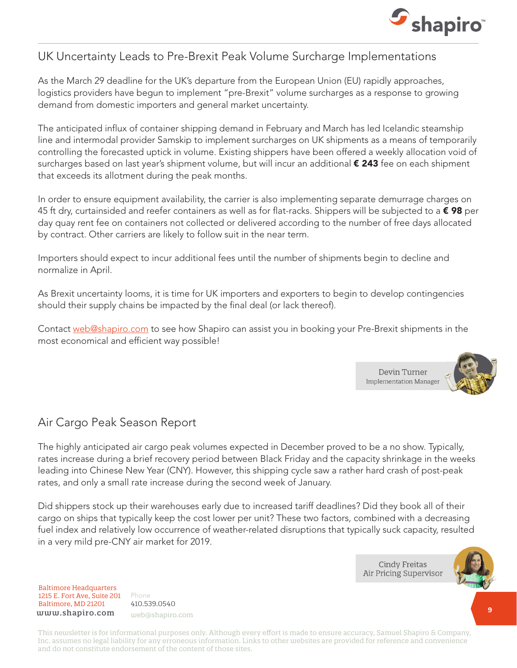

### UK Uncertainty Leads to Pre-Brexit Peak Volume Surcharge Implementations

As the March 29 deadline for the UK's departure from the European Union (EU) rapidly approaches, logistics providers have begun to implement "pre-Brexit" volume surcharges as a response to growing demand from domestic importers and general market uncertainty.

The anticipated influx of container shipping demand in February and March has led Icelandic steamship line and intermodal provider Samskip to implement surcharges on UK shipments as a means of temporarily controlling the forecasted uptick in volume. Existing shippers have been offered a weekly allocation void of surcharges based on last year's shipment volume, but will incur an additional **€ 243** fee on each shipment that exceeds its allotment during the peak months.

In order to ensure equipment availability, the carrier is also implementing separate demurrage charges on 45 ft dry, curtainsided and reefer containers as well as for flat-racks. Shippers will be subjected to a  $\epsilon$  98 per day quay rent fee on containers not collected or delivered according to the number of free days allocated by contract. Other carriers are likely to follow suit in the near term.

Importers should expect to incur additional fees until the number of shipments begin to decline and normalize in April.

As Brexit uncertainty looms, it is time for UK importers and exporters to begin to develop contingencies should their supply chains be impacted by the final deal (or lack thereof).

Contact [web@shapiro.com](mailto:web%40shapiro.com?subject=) to see how Shapiro can assist you in booking your Pre-Brexit shipments in the most economical and efficient way possible!



### Air Cargo Peak Season Report

The highly anticipated air cargo peak volumes expected in December proved to be a no show. Typically, rates increase during a brief recovery period between Black Friday and the capacity shrinkage in the weeks leading into Chinese New Year (CNY). However, this shipping cycle saw a rather hard crash of post-peak rates, and only a small rate increase during the second week of January.

Did shippers stock up their warehouses early due to increased tariff deadlines? Did they book all of their cargo on ships that typically keep the cost lower per unit? These two factors, combined with a decreasing fuel index and relatively low occurrence of weather-related disruptions that typically suck capacity, resulted in a very mild pre-CNY air market for 2019.

> **Cindy Freitas** Air Pricing Supervisor



Baltimore Headquarters Baltimore Headquarters 1215 E. Fort Ave, Suite 201 1215 E. Fort Ave, Suite 201 Baltimore, MD 21201 Baltimore, MD 21201  ${\tt www.shapiro.com}$  web@shapiro.com

Phone Phone 410.539.0540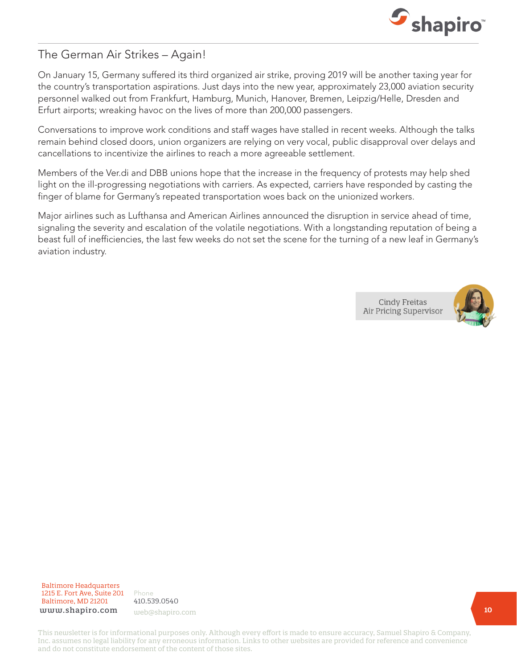

### The German Air Strikes – Again!

On January 15, Germany suffered its third organized air strike, proving 2019 will be another taxing year for the country's transportation aspirations. Just days into the new year, approximately 23,000 aviation security personnel walked out from Frankfurt, Hamburg, Munich, Hanover, Bremen, Leipzig/Helle, Dresden and Erfurt airports; wreaking havoc on the lives of more than 200,000 passengers.

Conversations to improve work conditions and staff wages have stalled in recent weeks. Although the talks remain behind closed doors, union organizers are relying on very vocal, public disapproval over delays and cancellations to incentivize the airlines to reach a more agreeable settlement.

Members of the Ver.di and DBB unions hope that the increase in the frequency of protests may help shed light on the ill-progressing negotiations with carriers. As expected, carriers have responded by casting the finger of blame for Germany's repeated transportation woes back on the unionized workers.

Major airlines such as Lufthansa and American Airlines announced the disruption in service ahead of time, signaling the severity and escalation of the volatile negotiations. With a longstanding reputation of being a beast full of inefficiencies, the last few weeks do not set the scene for the turning of a new leaf in Germany's aviation industry.

> **Cindy Freitas** Air Pricing Supervisor



Baltimore Headquarters Baltimore Headquarters 1215 E. Fort Ave, Suite 201 1215 E. Fort Ave, Suite 201 Baltimore, MD 21201 Baltimore, MD 21201 www.shapiro.com

Phone Phone 410.539.0540 web@shapiro.com